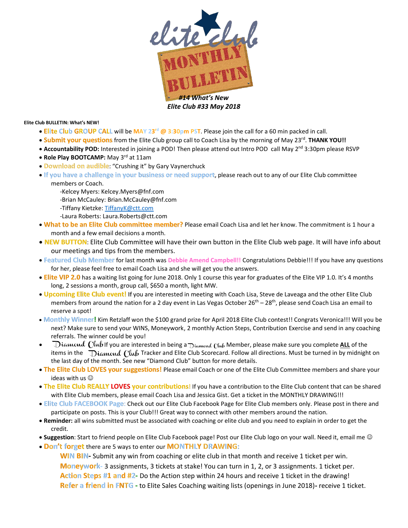

**Elite Club BULLETIN: What's NEW!** 

- **Elite Club GROUP CALL** will be **MAY 23 rd @ 3:30pm PST**. Please join the call for a 60 min packed in call.
- . **Submit your questions** from the Elite Club group call to Coach Lisa by the morning of May 23<sup>rd</sup>. THANK YOU!!
- Accountability POD: Interested in joining a POD! Then please attend out Intro POD call May 2<sup>nd</sup> 3:30pm please RSVP
- **Role Play BOOTCAMP:** May 3<sup>rd</sup> at 11am
- **Download on audible**: "Crushing it" by Gary Vaynerchuck
- **If you have a challenge in your business or need support**, please reach out to any of our Elite Club committee members or Coach.
	- -Kelcey Myers: [Kelcey.Myers@fnf.com](mailto:Kelcey.Myers@fnf.com) -Brian McCauley[: Brian.McCauley@fnf.com](mailto:Brian.McCauley@fnf.com)
	- -Tiffany Kietzke[: TiffanyK@ctt.com](mailto:TiffanyK@ctt.com)
	- -Laura Roberts[: Laura.Roberts@ctt.com](mailto:Laura.Roberts@ctt.com)
- **What to be an Elite Club committee member?** Please email Coach Lisa and let her know. The commitment is 1 hour a month and a few email decisions a month.
- **NEW BUTTON**: Elite Club Committee will have their own button in the Elite Club web page. It will have info about our meetings and tips from the members.
- **Featured Club Member** for last month was **Debbie Amend Campbell!!** Congratulations Debbie!!! If you have any questions for her, please feel free to email Coach Lisa and she will get you the answers.
- **Elite VIP 2.0** has a waiting list going for June 2018. Only 1 course this year for graduates of the Elite VIP 1.0. It's 4 months long, 2 sessions a month, group call, \$650 a month, light MW.
- **Upcoming Elite Club event!** If you are interested in meeting with Coach Lisa, Steve de Laveaga and the other Elite Club members from around the nation for a 2 day event in Las Vegas October 26<sup>th</sup> – 28<sup>th</sup>, please send Coach Lisa an email to reserve a spot!
- **Monthly Winner!** Kim Retzlaff won the \$100 grand prize for April 2018 Elite Club contest!! Congrats Veronica!!! Will you be next? Make sure to send your WINS, Moneywork, 2 monthly Action Steps, Contribution Exercise and send in any coaching referrals. The winner could be you!
- Diamond Club If you are interested in being a Diamond Club Member, please make sure you complete ALL of the items in the  $\Delta$ ia word  $\Omega$  Tracker and Elite Club Scorecard. Follow all directions. Must be turned in by midnight on the last day of the month. See new "Diamond Club" button for more details.
- **The Elite Club LOVES your suggestions!** Please email Coach or one of the Elite Club Committee members and share your ideas with us
- **The Elite Club REALLY LOVES your contributions**! If you have a contribution to the Elite Club content that can be shared with Elite Club members, please email Coach Lisa and Jessica Gist. Get a ticket in the MONTHLY DRAWING!!!
- **Elite Club FACEBOOK Page**: Check out our Elite Club Facebook Page for Elite Club members only. Please post in there and participate on posts. This is your Club!!! Great way to connect with other members around the nation.
- **Reminder:** all wins submitted must be associated with coaching or elite club and you need to explain in order to get the credit.
- **Suggestion**: Start to friend people on Elite Club Facebook page! Post our Elite Club logo on your wall. Need it, email me
- **Don't forget** there are 5 ways to enter our **MONTHLY DRAWING:**

**WIN BIN-** Submit any win from coaching or elite club in that month and receive 1 ticket per win. **Moneywork-** 3 assignments, 3 tickets at stake! You can turn in 1, 2, or 3 assignments. 1 ticket per. **Action Steps #1 and #2-** Do the Action step within 24 hours and receive 1 ticket in the drawing! **Refer a friend in FNTG -** to Elite Sales Coaching waiting lists (openings in June 2018)**-** receive 1 ticket.